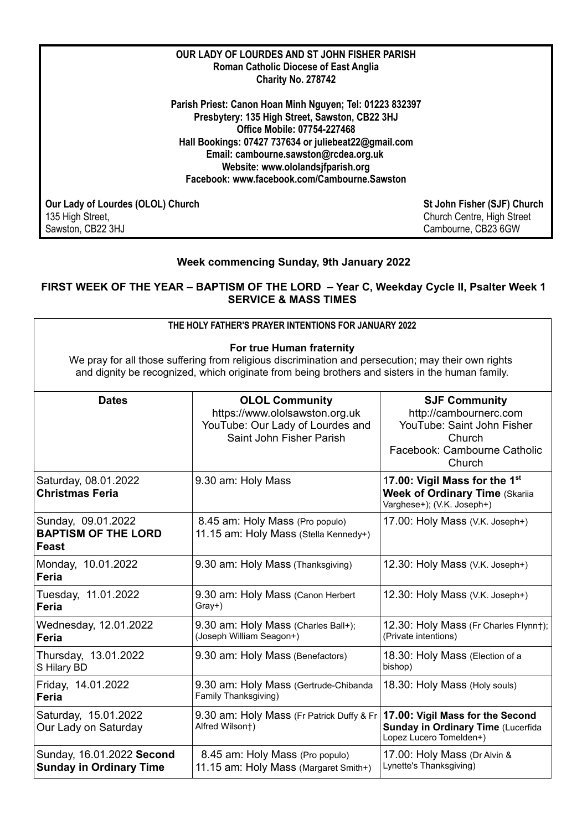| OUR LADY OF LOURDES AND ST JOHN FISHER PARISH<br><b>Roman Catholic Diocese of East Anglia</b><br>Charity No. 278742                                                                                                                                                                                                                    |                                                                                  |  |
|----------------------------------------------------------------------------------------------------------------------------------------------------------------------------------------------------------------------------------------------------------------------------------------------------------------------------------------|----------------------------------------------------------------------------------|--|
| Parish Priest: Canon Hoan Minh Nguyen; Tel: 01223 832397<br>Presbytery: 135 High Street, Sawston, CB22 3HJ<br><b>Office Mobile: 07754-227468</b><br>Hall Bookings: 07427 737634 or juliebeat22@gmail.com<br>Email: cambourne.sawston@rcdea.org.uk<br>Website: www.ololandsjfparish.org<br>Facebook: www.facebook.com/Cambourne.Sawston |                                                                                  |  |
| Our Lady of Lourdes (OLOL) Church<br>135 High Street,<br>Sawston, CB22 3HJ                                                                                                                                                                                                                                                             | St John Fisher (SJF) Church<br>Church Centre, High Street<br>Cambourne, CB23 6GW |  |

# **Week commencing Sunday, 9th January 2022**

## **FIRST WEEK OF THE YEAR – BAPTISM OF THE LORD – Year C, Weekday Cycle II, Psalter Week 1 SERVICE & MASS TIMES**

| THE HOLY FATHER'S PRAYER INTENTIONS FOR JANUARY 2022                                                                                                                                                                                |                                                                                                                         |                                                                                                                                  |  |
|-------------------------------------------------------------------------------------------------------------------------------------------------------------------------------------------------------------------------------------|-------------------------------------------------------------------------------------------------------------------------|----------------------------------------------------------------------------------------------------------------------------------|--|
| For true Human fraternity<br>We pray for all those suffering from religious discrimination and persecution; may their own rights<br>and dignity be recognized, which originate from being brothers and sisters in the human family. |                                                                                                                         |                                                                                                                                  |  |
| <b>Dates</b>                                                                                                                                                                                                                        | <b>OLOL Community</b><br>https://www.ololsawston.org.uk<br>YouTube: Our Lady of Lourdes and<br>Saint John Fisher Parish | <b>SJF Community</b><br>http://cambournerc.com<br>YouTube: Saint John Fisher<br>Church<br>Facebook: Cambourne Catholic<br>Church |  |
| Saturday, 08.01.2022<br><b>Christmas Feria</b>                                                                                                                                                                                      | 9.30 am: Holy Mass                                                                                                      | 17.00: Vigil Mass for the 1st<br><b>Week of Ordinary Time (Skariia</b><br>Varghese+); (V.K. Joseph+)                             |  |
| Sunday, 09.01.2022<br><b>BAPTISM OF THE LORD</b><br><b>Feast</b>                                                                                                                                                                    | 8.45 am: Holy Mass (Pro populo)<br>11.15 am: Holy Mass (Stella Kennedy+)                                                | 17.00: Holy Mass (V.K. Joseph+)                                                                                                  |  |
| Monday, 10.01.2022<br><b>Feria</b>                                                                                                                                                                                                  | 9.30 am: Holy Mass (Thanksgiving)                                                                                       | 12.30: Holy Mass (V.K. Joseph+)                                                                                                  |  |
| Tuesday, 11.01.2022<br>Feria                                                                                                                                                                                                        | 9.30 am: Holy Mass (Canon Herbert<br>$Gray+)$                                                                           | 12.30: Holy Mass (V.K. Joseph+)                                                                                                  |  |
| Wednesday, 12.01.2022<br><b>Feria</b>                                                                                                                                                                                               | 9.30 am: Holy Mass (Charles Ball+);<br>(Joseph William Seagon+)                                                         | 12.30: Holy Mass (Fr Charles Flynnt);<br>(Private intentions)                                                                    |  |
| Thursday, 13.01.2022<br>S Hilary BD                                                                                                                                                                                                 | 9.30 am: Holy Mass (Benefactors)                                                                                        | 18.30: Holy Mass (Election of a<br>bishop)                                                                                       |  |
| Friday, 14.01.2022<br><b>Feria</b>                                                                                                                                                                                                  | 9.30 am: Holy Mass (Gertrude-Chibanda<br>Family Thanksgiving)                                                           | 18.30: Holy Mass (Holy souls)                                                                                                    |  |
| Saturday, 15.01.2022<br>Our Lady on Saturday                                                                                                                                                                                        | 9.30 am: Holy Mass (Fr Patrick Duffy & Fr<br>Alfred Wilson†)                                                            | 17.00: Vigil Mass for the Second<br><b>Sunday in Ordinary Time (Lucerfida</b><br>Lopez Lucero Tomelden+)                         |  |
| Sunday, 16.01.2022 Second<br><b>Sunday in Ordinary Time</b>                                                                                                                                                                         | 8.45 am: Holy Mass (Pro populo)<br>11.15 am: Holy Mass (Margaret Smith+)                                                | 17.00: Holy Mass (Dr Alvin &<br>Lynette's Thanksgiving)                                                                          |  |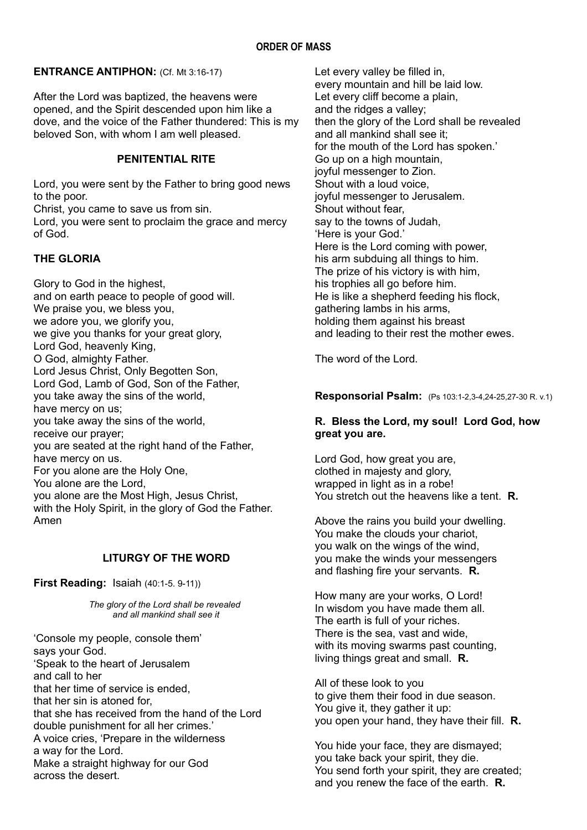## **ENTRANCE ANTIPHON: (Cf. Mt 3:16-17)**

After the Lord was baptized, the heavens were opened, and the Spirit descended upon him like a dove, and the voice of the Father thundered: This is my beloved Son, with whom I am well pleased.

## **PENITENTIAL RITE**

Lord, you were sent by the Father to bring good news to the poor.

Christ, you came to save us from sin.

Lord, you were sent to proclaim the grace and mercy of God.

## **THE GLORIA**

Glory to God in the highest, and on earth peace to people of good will. We praise you, we bless you, we adore you, we glorify you, we give you thanks for your great glory, Lord God, heavenly King, O God, almighty Father. Lord Jesus Christ, Only Begotten Son, Lord God, Lamb of God, Son of the Father, you take away the sins of the world, have mercy on us; you take away the sins of the world, receive our prayer; you are seated at the right hand of the Father, have mercy on us. For you alone are the Holy One, You alone are the Lord, you alone are the Most High, Jesus Christ, with the Holy Spirit, in the glory of God the Father. Amen

## **LITURGY OF THE WORD**

**First Reading:** Isaiah (40:1-5. 9-11))

*The glory of the Lord shall be revealed and all mankind shall see it*

'Console my people, console them' says your God. 'Speak to the heart of Jerusalem and call to her that her time of service is ended, that her sin is atoned for, that she has received from the hand of the Lord double punishment for all her crimes.' A voice cries, 'Prepare in the wilderness a way for the Lord. Make a straight highway for our God across the desert.

Let every valley be filled in. every mountain and hill be laid low. Let every cliff become a plain, and the ridges a valley; then the glory of the Lord shall be revealed and all mankind shall see it; for the mouth of the Lord has spoken.' Go up on a high mountain, joyful messenger to Zion. Shout with a loud voice, joyful messenger to Jerusalem. Shout without fear, say to the towns of Judah, 'Here is your God.' Here is the Lord coming with power, his arm subduing all things to him. The prize of his victory is with him, his trophies all go before him. He is like a shepherd feeding his flock, gathering lambs in his arms, holding them against his breast and leading to their rest the mother ewes.

The word of the Lord.

**Responsorial Psalm:** (Ps 103:1-2,3-4,24-25,27-30 R. v.1)

## **R. Bless the Lord, my soul! Lord God, how great you are.**

Lord God, how great you are, clothed in majesty and glory, wrapped in light as in a robe! You stretch out the heavens like a tent. **R.**

Above the rains you build your dwelling. You make the clouds your chariot, you walk on the wings of the wind, you make the winds your messengers and flashing fire your servants. **R.**

How many are your works, O Lord! In wisdom you have made them all. The earth is full of your riches. There is the sea, vast and wide, with its moving swarms past counting, living things great and small. **R.**

All of these look to you to give them their food in due season. You give it, they gather it up: you open your hand, they have their fill. **R.**

You hide your face, they are dismayed; you take back your spirit, they die. You send forth your spirit, they are created; and you renew the face of the earth. **R.**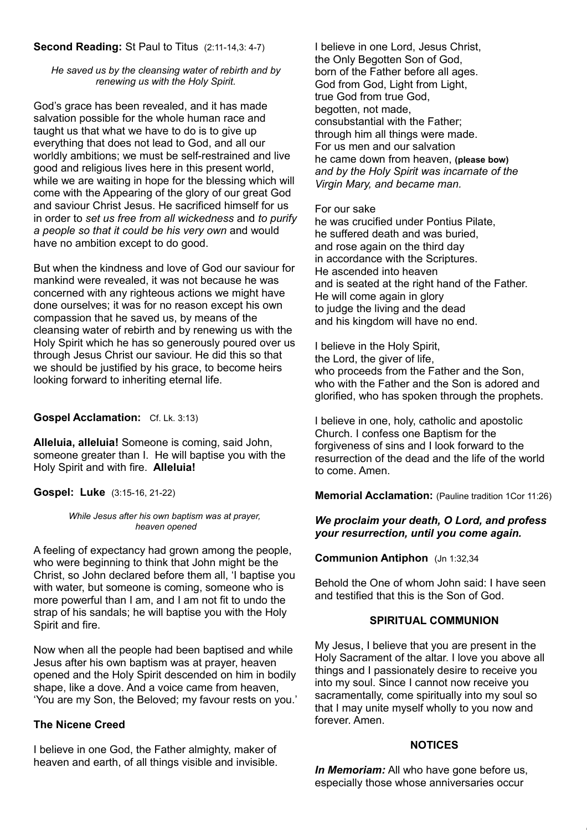### **Second Reading:** St Paul to Titus (2:11-14,3: 4-7)

#### *He saved us by the cleansing water of rebirth and by renewing us with the Holy Spirit.*

God's grace has been revealed, and it has made salvation possible for the whole human race and taught us that what we have to do is to give up everything that does not lead to God, and all our worldly ambitions; we must be self-restrained and live good and religious lives here in this present world, while we are waiting in hope for the blessing which will come with the Appearing of the glory of our great God and saviour Christ Jesus. He sacrificed himself for us in order to *set us free from all wickedness* and *to purify a people so that it could be his very own* and would have no ambition except to do good.

But when the kindness and love of God our saviour for mankind were revealed, it was not because he was concerned with any righteous actions we might have done ourselves; it was for no reason except his own compassion that he saved us, by means of the cleansing water of rebirth and by renewing us with the Holy Spirit which he has so generously poured over us through Jesus Christ our saviour. He did this so that we should be justified by his grace, to become heirs looking forward to inheriting eternal life.

#### **Gospel Acclamation:** Cf. Lk. 3:13)

**Alleluia, alleluia!** Someone is coming, said John, someone greater than I. He will baptise you with the Holy Spirit and with fire. **Alleluia!**

**Gospel: Luke**(3:15-16, 21-22)

*While Jesus after his own baptism was at prayer, heaven opened*

A feeling of expectancy had grown among the people, who were beginning to think that John might be the Christ, so John declared before them all, 'I baptise you with water, but someone is coming, someone who is more powerful than I am, and I am not fit to undo the strap of his sandals; he will baptise you with the Holy Spirit and fire.

Now when all the people had been baptised and while Jesus after his own baptism was at prayer, heaven opened and the Holy Spirit descended on him in bodily shape, like a dove. And a voice came from heaven, 'You are my Son, the Beloved; my favour rests on you.'

## **The Nicene Creed**

I believe in one God, the Father almighty, maker of heaven and earth, of all things visible and invisible.

I believe in one Lord, Jesus Christ, the Only Begotten Son of God, born of the Father before all ages. God from God, Light from Light, true God from true God, begotten, not made, consubstantial with the Father; through him all things were made. For us men and our salvation he came down from heaven, **(please bow)** *and by the Holy Spirit was incarnate of the Virgin Mary, and became man.*

#### For our sake

he was crucified under Pontius Pilate, he suffered death and was buried, and rose again on the third day in accordance with the Scriptures. He ascended into heaven and is seated at the right hand of the Father. He will come again in glory to judge the living and the dead and his kingdom will have no end.

I believe in the Holy Spirit, the Lord, the giver of life, who proceeds from the Father and the Son. who with the Father and the Son is adored and glorified, who has spoken through the prophets.

I believe in one, holy, catholic and apostolic Church. I confess one Baptism for the forgiveness of sins and I look forward to the resurrection of the dead and the life of the world to come. Amen.

**Memorial Acclamation:** (Pauline tradition 1Cor 11:26)

### *We proclaim your death, O Lord, and profess your resurrection, until you come again.*

**Communion Antiphon** (Jn 1:32,34

Behold the One of whom John said: I have seen and testified that this is the Son of God.

### **SPIRITUAL COMMUNION**

My Jesus, I believe that you are present in the Holy Sacrament of the altar. I love you above all things and I passionately desire to receive you into my soul. Since I cannot now receive you sacramentally, come spiritually into my soul so that I may unite myself wholly to you now and forever. Amen.

#### **NOTICES**

*In Memoriam:* All who have gone before us, especially those whose anniversaries occur